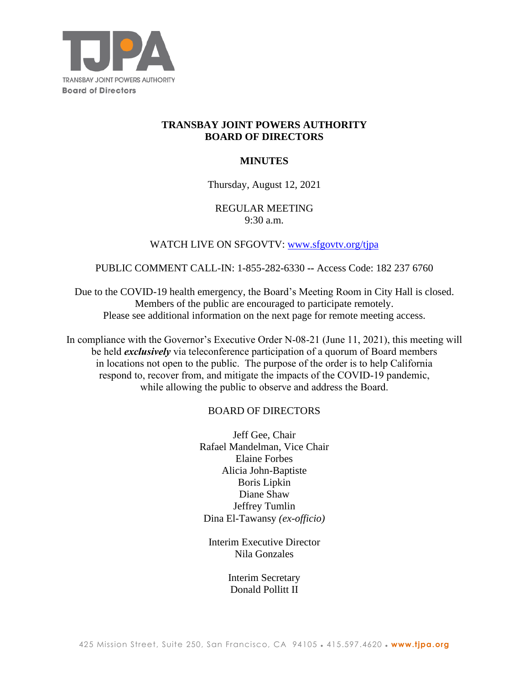

# **TRANSBAY JOINT POWERS AUTHORITY BOARD OF DIRECTORS**

# **MINUTES**

### Thursday, August 12, 2021

### REGULAR MEETING 9:30 a.m.

### WATCH LIVE ON SFGOVTV: [www.sfgovtv.org/tjpa](http://www.sfgovtv.org/tjpa)

#### PUBLIC COMMENT CALL-IN: 1-855-282-6330 **--** Access Code: 182 237 6760

Due to the COVID-19 health emergency, the Board's Meeting Room in City Hall is closed. Members of the public are encouraged to participate remotely. Please see additional information on the next page for remote meeting access.

In compliance with the Governor's Executive Order N-08-21 (June 11, 2021), this meeting will be held *exclusively* via teleconference participation of a quorum of Board members in locations not open to the public. The purpose of the order is to help California respond to, recover from, and mitigate the impacts of the COVID-19 pandemic, while allowing the public to observe and address the Board.

### BOARD OF DIRECTORS

Jeff Gee, Chair Rafael Mandelman, Vice Chair Elaine Forbes Alicia John-Baptiste Boris Lipkin Diane Shaw Jeffrey Tumlin Dina El-Tawansy *(ex-officio)*

Interim Executive Director Nila Gonzales

> Interim Secretary Donald Pollitt II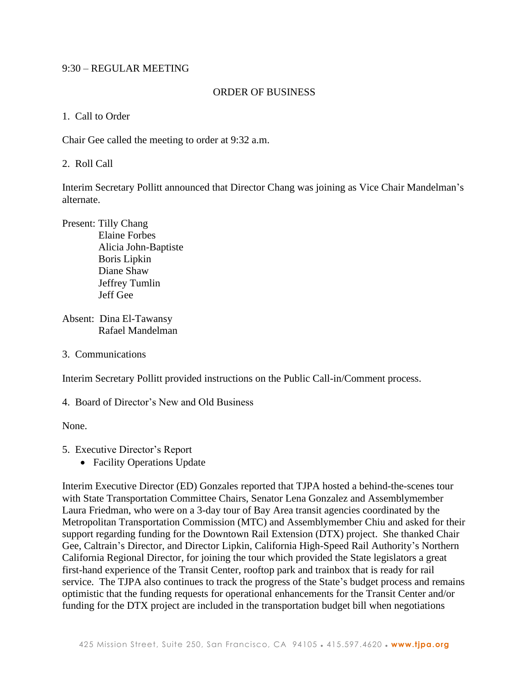### 9:30 – REGULAR MEETING

#### ORDER OF BUSINESS

1. Call to Order

Chair Gee called the meeting to order at 9:32 a.m.

2. Roll Call

Interim Secretary Pollitt announced that Director Chang was joining as Vice Chair Mandelman's alternate.

Present: Tilly Chang Elaine Forbes Alicia John-Baptiste Boris Lipkin Diane Shaw Jeffrey Tumlin Jeff Gee

Absent: Dina El-Tawansy Rafael Mandelman

3. Communications

Interim Secretary Pollitt provided instructions on the Public Call-in/Comment process.

4. Board of Director's New and Old Business

None.

5. Executive Director's Report

• Facility Operations Update

Interim Executive Director (ED) Gonzales reported that TJPA hosted a behind-the-scenes tour with State Transportation Committee Chairs, Senator Lena Gonzalez and Assemblymember Laura Friedman, who were on a 3-day tour of Bay Area transit agencies coordinated by the Metropolitan Transportation Commission (MTC) and Assemblymember Chiu and asked for their support regarding funding for the Downtown Rail Extension (DTX) project. She thanked Chair Gee, Caltrain's Director, and Director Lipkin, California High-Speed Rail Authority's Northern California Regional Director, for joining the tour which provided the State legislators a great first-hand experience of the Transit Center, rooftop park and trainbox that is ready for rail service. The TJPA also continues to track the progress of the State's budget process and remains optimistic that the funding requests for operational enhancements for the Transit Center and/or funding for the DTX project are included in the transportation budget bill when negotiations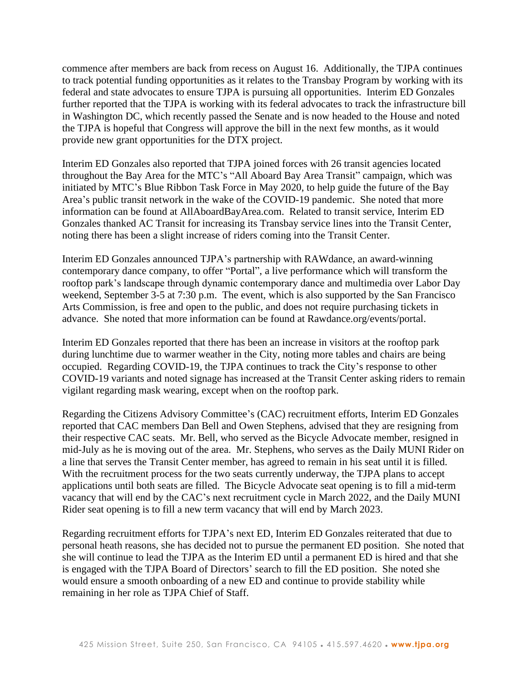commence after members are back from recess on August 16. Additionally, the TJPA continues to track potential funding opportunities as it relates to the Transbay Program by working with its federal and state advocates to ensure TJPA is pursuing all opportunities. Interim ED Gonzales further reported that the TJPA is working with its federal advocates to track the infrastructure bill in Washington DC, which recently passed the Senate and is now headed to the House and noted the TJPA is hopeful that Congress will approve the bill in the next few months, as it would provide new grant opportunities for the DTX project.

Interim ED Gonzales also reported that TJPA joined forces with 26 transit agencies located throughout the Bay Area for the MTC's "All Aboard Bay Area Transit" campaign, which was initiated by MTC's Blue Ribbon Task Force in May 2020, to help guide the future of the Bay Area's public transit network in the wake of the COVID-19 pandemic. She noted that more information can be found at AllAboardBayArea.com. Related to transit service, Interim ED Gonzales thanked AC Transit for increasing its Transbay service lines into the Transit Center, noting there has been a slight increase of riders coming into the Transit Center.

Interim ED Gonzales announced TJPA's partnership with RAWdance, an award-winning contemporary dance company, to offer "Portal", a live performance which will transform the rooftop park's landscape through dynamic contemporary dance and multimedia over Labor Day weekend, September 3-5 at 7:30 p.m. The event, which is also supported by the San Francisco Arts Commission, is free and open to the public, and does not require purchasing tickets in advance. She noted that more information can be found at Rawdance.org/events/portal.

Interim ED Gonzales reported that there has been an increase in visitors at the rooftop park during lunchtime due to warmer weather in the City, noting more tables and chairs are being occupied. Regarding COVID-19, the TJPA continues to track the City's response to other COVID-19 variants and noted signage has increased at the Transit Center asking riders to remain vigilant regarding mask wearing, except when on the rooftop park.

Regarding the Citizens Advisory Committee's (CAC) recruitment efforts, Interim ED Gonzales reported that CAC members Dan Bell and Owen Stephens, advised that they are resigning from their respective CAC seats. Mr. Bell, who served as the Bicycle Advocate member, resigned in mid-July as he is moving out of the area. Mr. Stephens, who serves as the Daily MUNI Rider on a line that serves the Transit Center member, has agreed to remain in his seat until it is filled. With the recruitment process for the two seats currently underway, the TJPA plans to accept applications until both seats are filled. The Bicycle Advocate seat opening is to fill a mid-term vacancy that will end by the CAC's next recruitment cycle in March 2022, and the Daily MUNI Rider seat opening is to fill a new term vacancy that will end by March 2023.

Regarding recruitment efforts for TJPA's next ED, Interim ED Gonzales reiterated that due to personal heath reasons, she has decided not to pursue the permanent ED position. She noted that she will continue to lead the TJPA as the Interim ED until a permanent ED is hired and that she is engaged with the TJPA Board of Directors' search to fill the ED position. She noted she would ensure a smooth onboarding of a new ED and continue to provide stability while remaining in her role as TJPA Chief of Staff.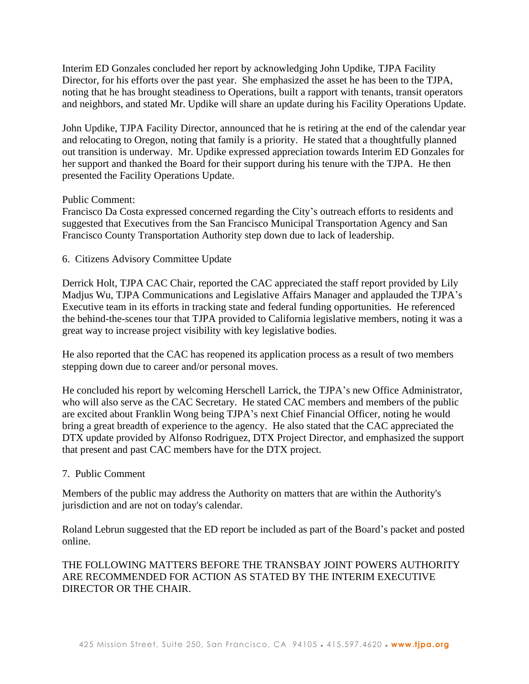Interim ED Gonzales concluded her report by acknowledging John Updike, TJPA Facility Director, for his efforts over the past year. She emphasized the asset he has been to the TJPA, noting that he has brought steadiness to Operations, built a rapport with tenants, transit operators and neighbors, and stated Mr. Updike will share an update during his Facility Operations Update.

John Updike, TJPA Facility Director, announced that he is retiring at the end of the calendar year and relocating to Oregon, noting that family is a priority. He stated that a thoughtfully planned out transition is underway. Mr. Updike expressed appreciation towards Interim ED Gonzales for her support and thanked the Board for their support during his tenure with the TJPA. He then presented the Facility Operations Update.

### Public Comment:

Francisco Da Costa expressed concerned regarding the City's outreach efforts to residents and suggested that Executives from the San Francisco Municipal Transportation Agency and San Francisco County Transportation Authority step down due to lack of leadership.

### 6. Citizens Advisory Committee Update

Derrick Holt, TJPA CAC Chair, reported the CAC appreciated the staff report provided by Lily Madjus Wu, TJPA Communications and Legislative Affairs Manager and applauded the TJPA's Executive team in its efforts in tracking state and federal funding opportunities. He referenced the behind-the-scenes tour that TJPA provided to California legislative members, noting it was a great way to increase project visibility with key legislative bodies.

He also reported that the CAC has reopened its application process as a result of two members stepping down due to career and/or personal moves.

He concluded his report by welcoming Herschell Larrick, the TJPA's new Office Administrator, who will also serve as the CAC Secretary. He stated CAC members and members of the public are excited about Franklin Wong being TJPA's next Chief Financial Officer, noting he would bring a great breadth of experience to the agency. He also stated that the CAC appreciated the DTX update provided by Alfonso Rodriguez, DTX Project Director, and emphasized the support that present and past CAC members have for the DTX project.

### 7. Public Comment

Members of the public may address the Authority on matters that are within the Authority's jurisdiction and are not on today's calendar.

Roland Lebrun suggested that the ED report be included as part of the Board's packet and posted online.

# THE FOLLOWING MATTERS BEFORE THE TRANSBAY JOINT POWERS AUTHORITY ARE RECOMMENDED FOR ACTION AS STATED BY THE INTERIM EXECUTIVE DIRECTOR OR THE CHAIR.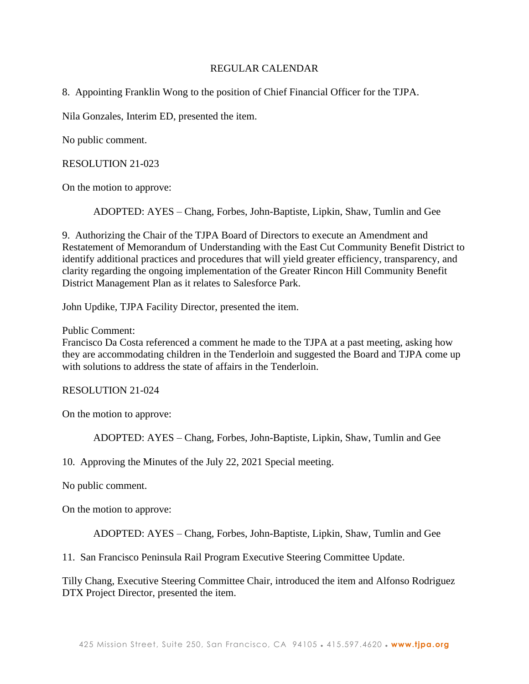### REGULAR CALENDAR

8. Appointing Franklin Wong to the position of Chief Financial Officer for the TJPA.

Nila Gonzales, Interim ED, presented the item.

No public comment.

RESOLUTION 21-023

On the motion to approve:

ADOPTED: AYES – Chang, Forbes, John-Baptiste, Lipkin, Shaw, Tumlin and Gee

9. Authorizing the Chair of the TJPA Board of Directors to execute an Amendment and Restatement of Memorandum of Understanding with the East Cut Community Benefit District to identify additional practices and procedures that will yield greater efficiency, transparency, and clarity regarding the ongoing implementation of the Greater Rincon Hill Community Benefit District Management Plan as it relates to Salesforce Park.

John Updike, TJPA Facility Director, presented the item.

Public Comment:

Francisco Da Costa referenced a comment he made to the TJPA at a past meeting, asking how they are accommodating children in the Tenderloin and suggested the Board and TJPA come up with solutions to address the state of affairs in the Tenderloin.

RESOLUTION 21-024

On the motion to approve:

ADOPTED: AYES – Chang, Forbes, John-Baptiste, Lipkin, Shaw, Tumlin and Gee

10. Approving the Minutes of the July 22, 2021 Special meeting.

No public comment.

On the motion to approve:

ADOPTED: AYES – Chang, Forbes, John-Baptiste, Lipkin, Shaw, Tumlin and Gee

11. San Francisco Peninsula Rail Program Executive Steering Committee Update.

Tilly Chang, Executive Steering Committee Chair, introduced the item and Alfonso Rodriguez DTX Project Director, presented the item.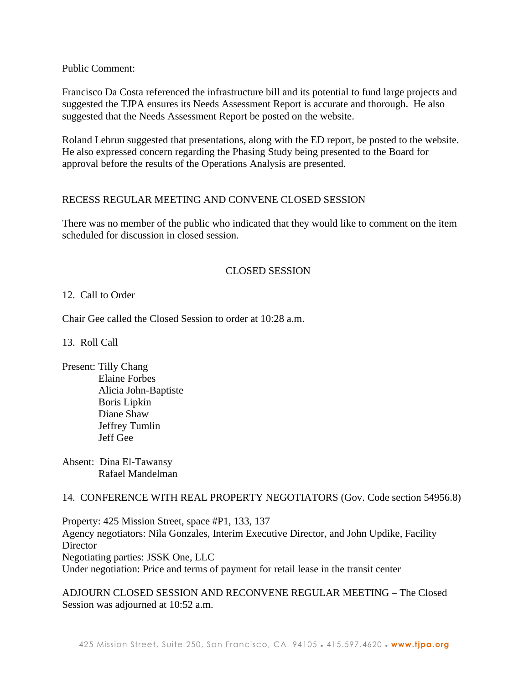Public Comment:

Francisco Da Costa referenced the infrastructure bill and its potential to fund large projects and suggested the TJPA ensures its Needs Assessment Report is accurate and thorough. He also suggested that the Needs Assessment Report be posted on the website.

Roland Lebrun suggested that presentations, along with the ED report, be posted to the website. He also expressed concern regarding the Phasing Study being presented to the Board for approval before the results of the Operations Analysis are presented.

# RECESS REGULAR MEETING AND CONVENE CLOSED SESSION

There was no member of the public who indicated that they would like to comment on the item scheduled for discussion in closed session.

# CLOSED SESSION

### 12. Call to Order

Chair Gee called the Closed Session to order at 10:28 a.m.

13. Roll Call

Present: Tilly Chang Elaine Forbes Alicia John-Baptiste Boris Lipkin Diane Shaw Jeffrey Tumlin Jeff Gee

Absent: Dina El-Tawansy Rafael Mandelman

### 14. CONFERENCE WITH REAL PROPERTY NEGOTIATORS (Gov. Code section 54956.8)

Property: 425 Mission Street, space #P1, 133, 137 Agency negotiators: Nila Gonzales, Interim Executive Director, and John Updike, Facility **Director** Negotiating parties: JSSK One, LLC Under negotiation: Price and terms of payment for retail lease in the transit center

ADJOURN CLOSED SESSION AND RECONVENE REGULAR MEETING – The Closed Session was adjourned at 10:52 a.m.